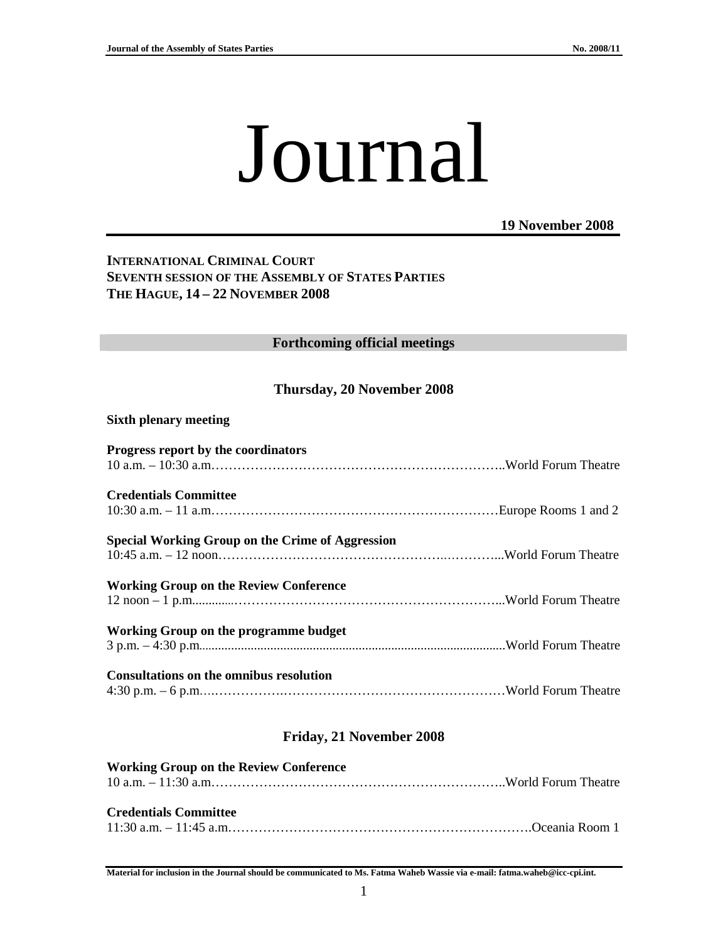# Journal

**19 November 2008**

# **INTERNATIONAL CRIMINAL COURT SEVENTH SESSION OF THE ASSEMBLY OF STATES PARTIES THE HAGUE, 14 – 22 NOVEMBER 2008**

#### **Forthcoming official meetings**

# **Thursday, 20 November 2008**

#### **Sixth plenary meeting**

| Progress report by the coordinators                     |  |
|---------------------------------------------------------|--|
| <b>Credentials Committee</b>                            |  |
| <b>Special Working Group on the Crime of Aggression</b> |  |
| <b>Working Group on the Review Conference</b>           |  |
| Working Group on the programme budget                   |  |
| Consultations on the omnibus resolution                 |  |

# **Friday, 21 November 2008**

| <b>Working Group on the Review Conference</b> |  |
|-----------------------------------------------|--|
|                                               |  |
|                                               |  |
| <b>Credentials Committee</b>                  |  |
|                                               |  |
|                                               |  |

**Material for inclusion in the Journal should be communicated to Ms. Fatma Waheb Wassie via e-mail: fatma.waheb@icc-cpi.int.**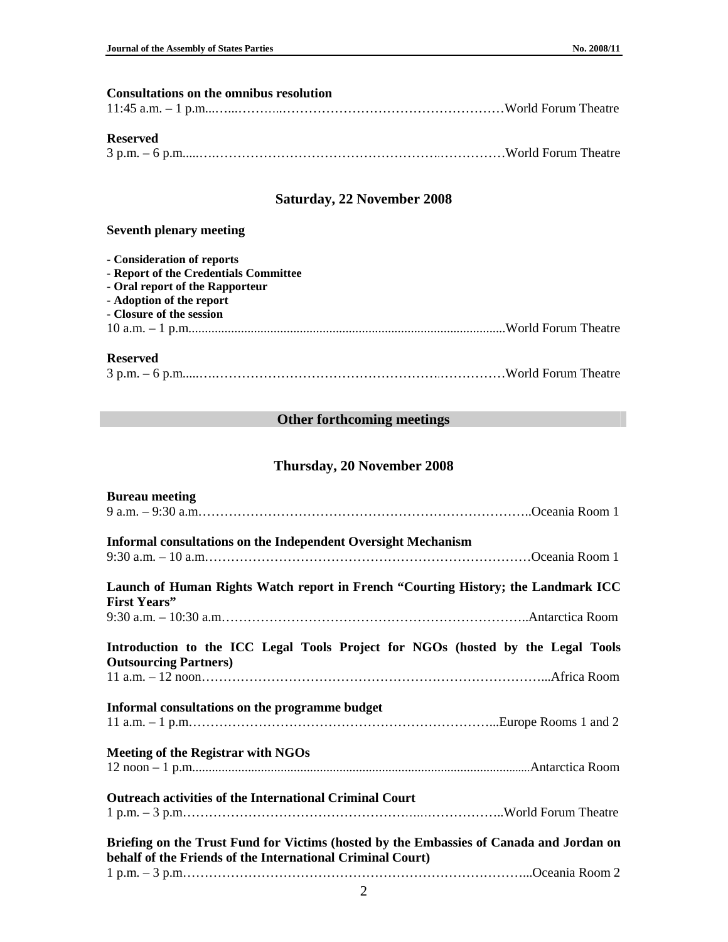| <b>Consultations on the omnibus resolution</b> |  |
|------------------------------------------------|--|
|                                                |  |
|                                                |  |
| <b>Reserved</b>                                |  |
|                                                |  |
|                                                |  |
|                                                |  |
|                                                |  |

# **Saturday, 22 November 2008**

# **Seventh plenary meeting**

| - Consideration of reports            |  |
|---------------------------------------|--|
| - Report of the Credentials Committee |  |
| - Oral report of the Rapporteur       |  |
| - Adoption of the report              |  |
| - Closure of the session              |  |
|                                       |  |
|                                       |  |
|                                       |  |

#### **Reserved**

|--|--|--|--|--|

# **Other forthcoming meetings**

# **Thursday, 20 November 2008**

| <b>Bureau meeting</b>                                                                                                                                 |
|-------------------------------------------------------------------------------------------------------------------------------------------------------|
|                                                                                                                                                       |
| <b>Informal consultations on the Independent Oversight Mechanism</b>                                                                                  |
|                                                                                                                                                       |
| Launch of Human Rights Watch report in French "Courting History; the Landmark ICC<br><b>First Years</b> "                                             |
|                                                                                                                                                       |
| Introduction to the ICC Legal Tools Project for NGOs (hosted by the Legal Tools<br><b>Outsourcing Partners</b> )                                      |
|                                                                                                                                                       |
| Informal consultations on the programme budget                                                                                                        |
| <b>Meeting of the Registrar with NGOs</b>                                                                                                             |
|                                                                                                                                                       |
| <b>Outreach activities of the International Criminal Court</b>                                                                                        |
|                                                                                                                                                       |
| Briefing on the Trust Fund for Victims (hosted by the Embassies of Canada and Jordan on<br>behalf of the Friends of the International Criminal Court) |
|                                                                                                                                                       |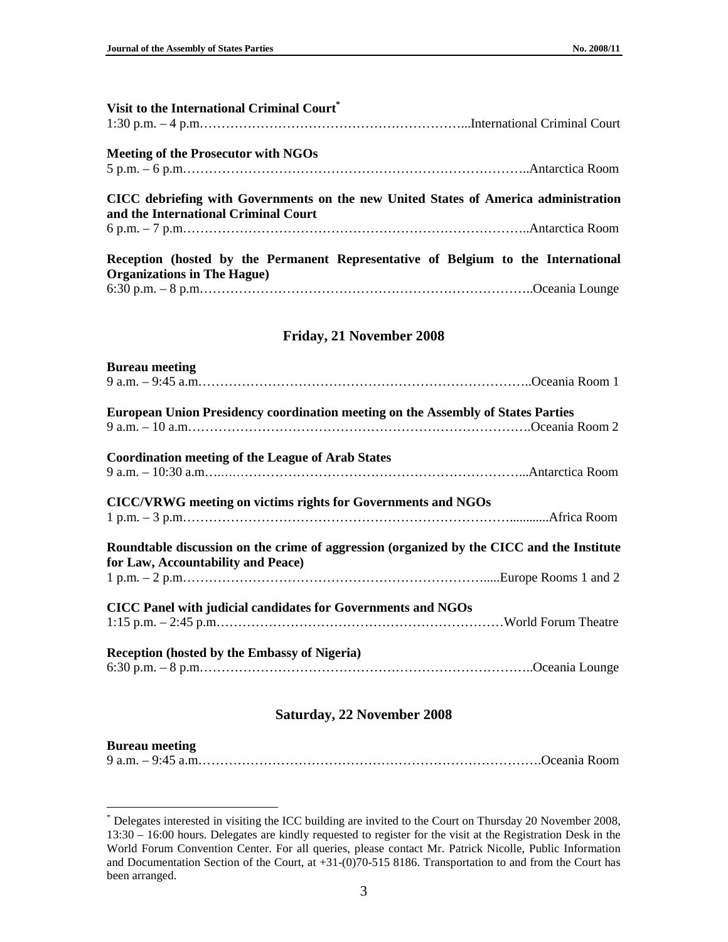l

| Visit to the International Criminal Court®                                                                                  |  |
|-----------------------------------------------------------------------------------------------------------------------------|--|
| <b>Meeting of the Prosecutor with NGOs</b>                                                                                  |  |
|                                                                                                                             |  |
| CICC debriefing with Governments on the new United States of America administration<br>and the International Criminal Court |  |
|                                                                                                                             |  |
| Reception (hosted by the Permanent Representative of Belgium to the International<br><b>Organizations in The Hague)</b>     |  |
|                                                                                                                             |  |
|                                                                                                                             |  |

#### **Friday, 21 November 2008**

| <b>Bureau meeting</b>                                                                                                           |  |
|---------------------------------------------------------------------------------------------------------------------------------|--|
|                                                                                                                                 |  |
| <b>European Union Presidency coordination meeting on the Assembly of States Parties</b>                                         |  |
|                                                                                                                                 |  |
| <b>Coordination meeting of the League of Arab States</b>                                                                        |  |
|                                                                                                                                 |  |
| CICC/VRWG meeting on victims rights for Governments and NGOs                                                                    |  |
|                                                                                                                                 |  |
| Roundtable discussion on the crime of aggression (organized by the CICC and the Institute<br>for Law, Accountability and Peace) |  |
|                                                                                                                                 |  |
| CICC Panel with judicial candidates for Governments and NGOs                                                                    |  |
|                                                                                                                                 |  |
| <b>Reception (hosted by the Embassy of Nigeria)</b>                                                                             |  |
|                                                                                                                                 |  |

# **Saturday, 22 November 2008**

| <b>Bureau meeting</b> |  |
|-----------------------|--|
|                       |  |

<sup>\*</sup> Delegates interested in visiting the ICC building are invited to the Court on Thursday 20 November 2008, 13:30 – 16:00 hours. Delegates are kindly requested to register for the visit at the Registration Desk in the World Forum Convention Center. For all queries, please contact Mr. Patrick Nicolle, Public Information and Documentation Section of the Court, at +31-(0)70-515 8186. Transportation to and from the Court has been arranged.